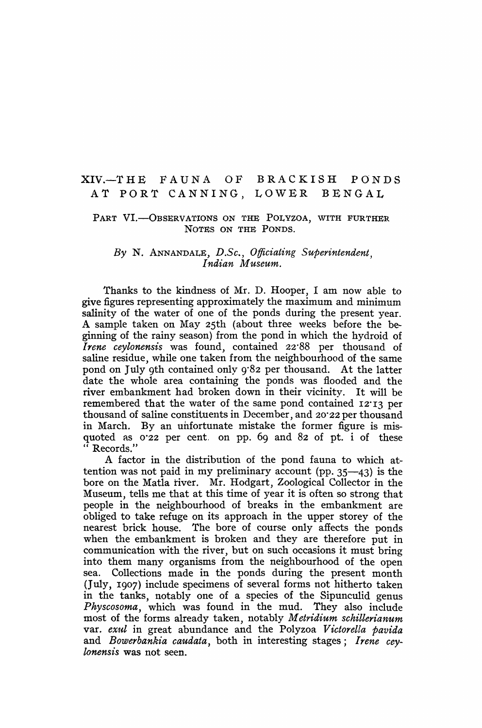# XIV.-THE FAUNA OF BRACKISH PONDS AT PORT CANNING, LOWER BENGAL

# PART VI.-OBSERVATIONS ON THE POLYZOA, WITH FURTHER NOTES ON THE PONDS.

### *By* N. ANNANDALE, *D .Sc., Officiating Superintendent, I ndian Museum.*

Thanks to the kindness of Mr. D. Hooper, I am now able to give figures representing approximately the maximum and minimum salinity of the water of one of the ponds during the present year. A sample taken on May 25th (about three weeks before the beginning of the rainy season) from the pond in which the hydroid of *Irene ceylonensis* was found, contained 22'88 per thousand of saline residue, while one taken from the neighbourhood of the same pond on July 9th contained only 9'82 per thousand. At the latter date the whole area containing the ponds was flooded and the river embankment had broken down in their vicinity. It will be remembered that the water of the same pond contained 12'13 per thousand of saline constituents in December, and 20'22 per thousand in March. By an unfortunate mistake the former figure is misquoted as 0'22 per cent. on pp. 69 and 82 of pt. i of these Records."

A factor in the distribution of the pond fauna to which attention was not paid in my preliminary account (pp.  $35-43$ ) is the bore on the Matla river. Mr. Hodgart, Zoological Collector in the Museum, tells me that at this time of year it is often so strong that people in the neighbourhood of breaks in the embankment are obliged to take refuge on its approach in the upper storey of the nearest brick house. The bore of course only affects the ponds when the embankment is broken and they are therefore put in communication with the river, but on such occasions it must bring into them many organisms from the neighbourhood of the open sea. Collections made in the ponds during the present month (July, 1907) include specimens of several forms not hitherto taken in the tanks, notably one of a species of the Sipunculid genus *Physcosoma,* which was found in the mud. They also include most of the forms already taken, notably *Metridium schillerianum*  var. *exul* in great abundance and the Polyzoa *Victorella pavida* and *Bowerbankia caudata,* both in interesting stages; *Irene ceylonensis* was not seen.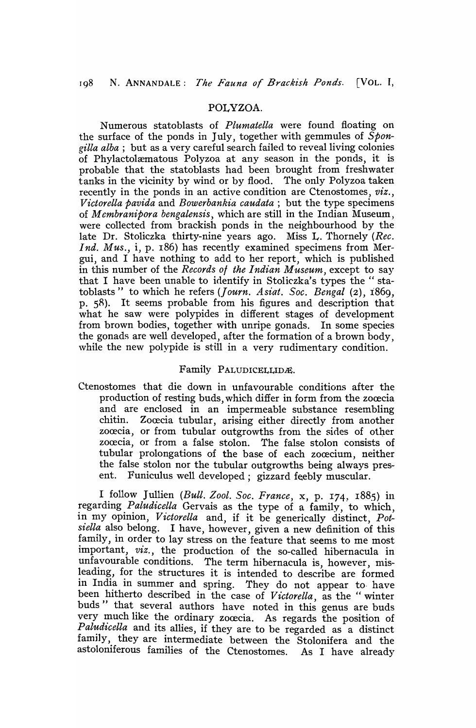# POLYZOA.

Numerous statoblasts of *Plumatella* were found floating on the surface of the ponds in July, together with gemmules of *Spongilla alba;* but as a very careful search failed to reveal living colonies of Phylactolæmatous Polyzoa at any season in the ponds, it is probable that the statoblasts had been brought from freshwater tanks in the vicinity by wind or by flood. The only Polyzoa taken recently in the ponds in an active condition are Ctenostomes, *viz., VictoreUa pavida* and *Bowerbankia caudata;* but the type specimens of *M embranipora bengalensis,* which are still in the Indian Museum, were collected from brackish ponds in the neighbourhood by the late Dr. Stoliczka thirty-nine years ago. Miss L. Thornely *(Rec. Ind. Mus.,* i, p. 186) has recently examined specimens from Mergui, and I have nothing to add to her report, which is published in this number of the *Records ot the Indian Museum,* except to say that I have been unable to identify in Stoliczka's types the" statoblasts" to which he refers (*Journ. Asiat. Soc. Bengal* (2), 1869, p. SR). It seems probable from his figures and description that what he saw were polypides in different stages of development from brown bodies, together with unripe gonads. In some species the gonads are well developed, after the formation of a brown body, while the new polypide is still in a very rudimentary condition.

#### Family PALUDICELLIDÆ.

Ctenostomes that die down in unfavourable conditions after the production of resting buds, which differ in form from the zoœcia and are enclosed in an impermeable substance resembling chitin. Zocecia tubular, arising either directly from another zocecia, or from tubular outgrowths from the sides of other zocecia, or from a false stolon. The false stolon consists of tubular prolongations of the base of each zocecium, neither the false stolon nor the tubular outgrowths being always present. Funiculus well developed; gizzard feebly muscular.

I follow Jullien *(Bull. Zool. Soc. France,* x, p. 174, 1885) in regarding *Pahtdicella* Gervais as the type of a family, to which, in my opinion, *Victorella* and, if it be generically distinct, *Potsiella* also belong. I have, however, given a new definition of this family, in order to lay stress on the feature that seems to me most important, *viz.,* the production of the so-called hibernacula in unfavourable conditions. The term hibernacula is, however, misleading, for the structures it is intended to describe are formed in India in summer and spring. They do not appear to have been hitherto described in the case of *Victorella*, as the "winter buds" that several authors have noted in this genus are buds very much like the ordinary zoœcia. As regards the position of Paludicella and its allies, if they are to be regarded as a distinct famlly, they are intermediate between the Stolonifera and the astoloniferous families of the Ctenostomes. As I have already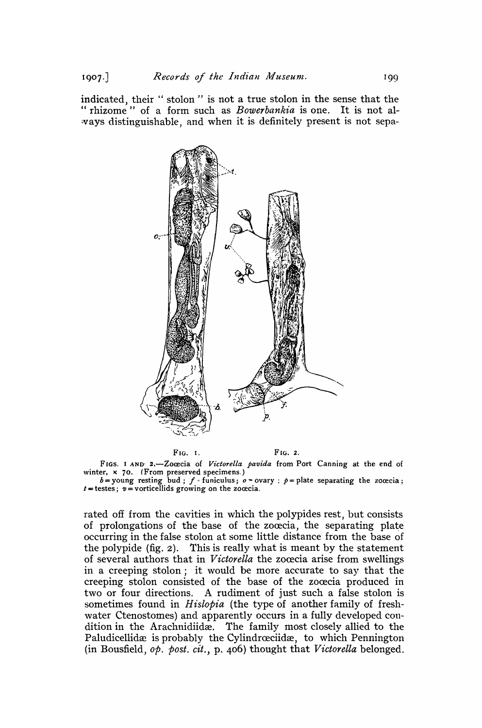indicated, their " stolon " is not a true stolon in the sense that the " rhizome" of a form such as *Bowerbankia* is one. It is not always distinguishable, and when it is definitely present is not sepa-



FIG. I. FIG. 2.

FIGS. I AND 2.-Zoœcia of Victorella pavida from Port Canning at the end of winter,  $\times$  70. (From preserved specimens.)<br>  $b =$  young resting bud;  $f =$  funiculus;  $o =$  ovary;  $p =$  plate separating the zoœcia;

 $t =$  testes;  $v =$  vorticellids growing on the zooccia.

rated off from the cavities in which the polypides rest, but consists of prolongations of the base of the zocecia, the separating plate occurring in the false stolon at some little distance from the base of the polypide (fig. 2). This is really what is meant by the statement of several authors that in *Victorella* the zocecia arise from swellings in a creeping stolon; it would be more accurate to say that the creeping stolon consisted of the base of the zooccia produced in two or four directions. A rudiment of just such a false stolon is sometimes found in *Hislopia* (the type of another family of freshwater Ctenostomes) and apparently occurs in a fully developed condition in the Arachnidiidæ. The family most closely allied to the Paludicellidæ is probably the Cylindrœciidæ, to which Pennington (in Bousfield, *op. post. cit.,* p. 406) thought that *Victorella* belonged.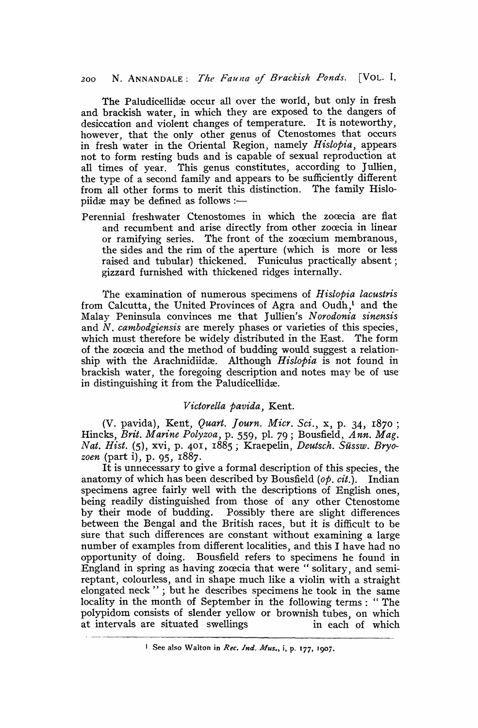200 N. ANNANDALE: *The Fauna of Brackish Ponds.* [VOL. I,

The Paludicellidæ occur all over the world, but only in fresh and brackish water, in which they are exposed to the dangers of desiccation and violent changes of temperature. It is noteworthy, however, that the only other genus of Ctenostomes that occurs in fresh water in the Oriental Region, namely *Hislopia,* appears not to form resting buds and is capable of sexual reproduction at all times of year. This genus constitutes, according to Jullien, the type of a second family and appears to be sufficiently different from all other forms to merit this distinction. The family Hislopiidæ may be defined as follows :-

Perennial freshwater Ctenostomes in which the zoœcia are flat and recumbent and arise directly from other zoœcia in linear or ramifying series. The front of the zooecium membranous, the sides and the rim of the aperture (which is more or less raised and tubular) thickened. Funiculus practically absent; gizzard furnished with thickened ridges internally.

The examination of numerous specimens of *H islopia lacustris*  from Calcutta, the United Provinces of Agra and Oudh,<sup>1</sup> and the Malay Peninsula convinces me that Jullien's *Norodonia sinensis*  and N. *cambodgiensis* are merely phases or varieties of this species, which must therefore be widely distributed in the East. The form of the zoœcia and the method of budding would suggest a relationship with the Arachnidiidæ. Although *Hislopia* is not found in brackish water, the foregoing description and notes may be of use in distinguishing it from the Paludicellidæ.

## *V ictorella pavida,* Kent.

(V. pavida), Kent, *Quart. Journ. Micr. Sci.,* x, p. 34, r870 ; Hincks, *Brit. Marine Polyzoa,* p. 559, pI. 79 ; Bousfield, *Ann. Mag. Nat. Hist.* (5), xvi, p. 401, 1885; Kraepelin, *Deutsch. Sussw. Bryozoen* (part i), p. 95, 1887.

It is unnecessary to give a formal description of this species, the anatomy of which has been described by Bousfield *(op. cit.).* Indian specimens agree fairly well with the descriptions of English ones, being readily distinguished from those of any other Ctenostome by their mode of budding. Possibly there are slight differences between the Bengal and the British races, but it is difficult to be sure that such differences are constant without examining a large number of examples from different localities, and this I have had no opportunity of doing. Bousfield refers to specimens he found in England in spring as having zoœcia that were "solitary, and semireptant, colourless, and in shape much like a violin with a straight elongated neck" ; but he describes specimens he took in the same locality in the month of September in the following terms: "The polypidom consists of slender yellow or brownish tubes, on which at intervals are situated swellings in each of which

<sup>&</sup>lt;sup>1</sup> See also Walton in *Rec. Ind. Mus.*, i, p. 177, 1907.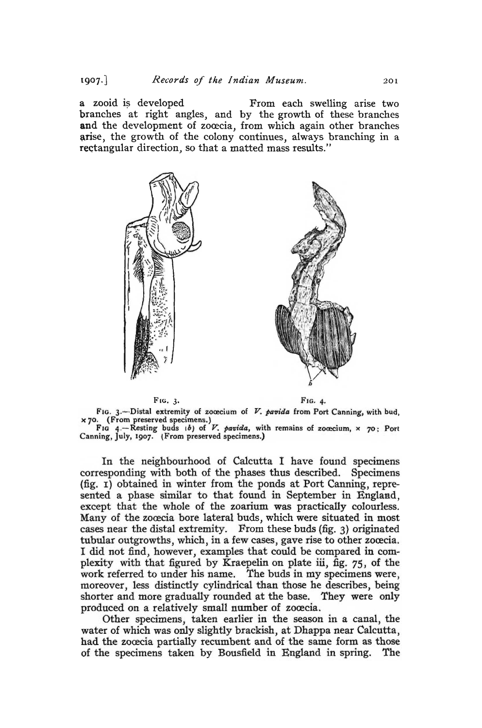$1907.$ 

a zooid is developed From each swelling arise two branches at right angles, and by the growth of these branches and the development of zoœcia, from which again other branches arise, the growth of the colony continues, always branching in a rectangular direction, so that a matted mass results."







FIG. 3.--Distal extremity of zoœcium of  $V$ . pavida from Port Canning, with bud, x 70. (From preserved specimens.)

FIG 4.-Resting buds  $(b)$  of V. pavida, with remains of zocecium, x  $70$ ; Port Canning, July, 1907. (From preserved specimens.)

In the neighbourhood of Calcutta I have found specimens corresponding with both of the phases thus described. Specimens (fig. I) obtained in winter from the ponds at Port Canning, repre sented a phase similar to that found in September in England, except that the whole of the zoarium was practically colourless. Many of the zocecia bore lateral buds, which were situated in most cases near the distal extremity. From these buds (fig. 3) originated tubular outgrowths, which, in a few cases, gave rise to other zoœcia. I did not find, however, examples that could be compared in complexity with that figured by Kraepelin on plate iii, fig.  $75$ , of the work referred to under his name. The buds in my specimens were, moreover, less distinctly cylindrical than those he describes, being shorter and more gradually rounded at the base. They were only produced on a relatively small number of zoœcia.

Other specimens, taken earlier in the season in a canal, the water of which was only slightly brackish, at Dhappa near Calcutta, had the zoœcia partially recumbent and of the same form as those of the specimens taken by Bousfield in England in spring. The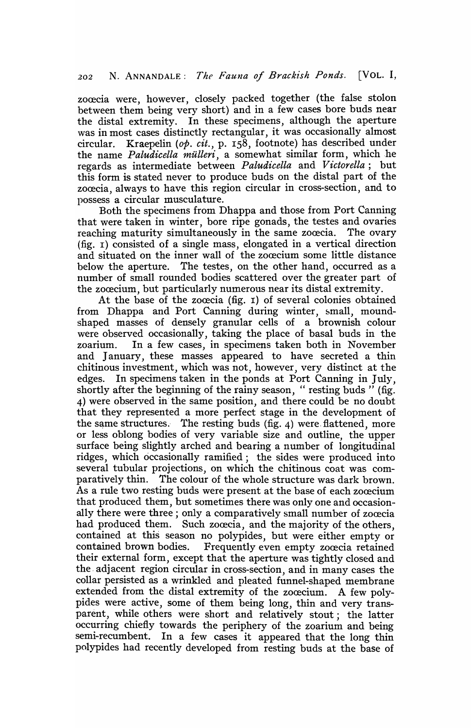zoœcia were, however, closely packed together (the false stolon between them being very short) and in a few cases bore buds near the distal extremity. In these specimens, although the aperture was in most cases distinctly rectangular, it was occasionally almost circular. Kraepelin *(op. cit.,* p. IS8, footnote) has described under the name *Paludicella mülleri*, a somewhat similar form, which he regards as intermediate between *Paludicella* and *Victorella;* but this form is stated never to produce buds on the distal part of the zocecia, always to have this region circular in cross-section, and to possess a circular musculature.

Both the specimens from Dhappa and those from Port Canning that were taken in winter, bore ripe gonads, the testes and ovaries reaching maturity simultaneously in the same zoœcia. The ovary (fig. I) consisted of a single mass, elongated in a vertical direction and situated on the inner wall of the zoœcium some little distance below the aperture. The testes, on the other hand, occurred as a number of small rounded bodies scattered over the greater part of the zoœcium, but particularly numerous near its distal extremity.

At the base of the zoœcia (fig. 1) of several colonies obtained from Dhappa and Port Canning during winter, small, moundshaped masses of densely granular cells of a brownish colour were observed occasionally, taking the place of basal buds in the zoarium. In a few cases, in specimens taken both in November and January, these masses appeared to have secreted a thin chitinous investment, which was not, however, very distinct at the edges. In specimens taken in the ponds at Port Canning in July, shortly after the beginning of the rainy season, "resting buds" (fig. 4) were observed in the same position, and there could be no doubt that they represented a more perfect stage in the development of the same structures. The resting buds (fig.  $4$ ) were flattened, more or less oblong bodies of very variable size and outline, the upper surface being slightly arched and bearing a number of longitudinal ridges, which occasionally ramified; the sides were produced into several tubular projections, on which the chitinous coat was comparatively thin. The colour of the whole structure was dark brown. As a rule two resting buds were present at the base of each zocecium that produced them, but sometimes there was only one and occasionally there were three; only a comparatively small number of zoœcia had produced them. Such zocecia, and the majority of the others, contained at this season no polypides, but were either empty or contained brown bodies. Frequently even empty zocecia retained their external form, except that the aperture was tightly closed and the adjacent region circular in cross-section, and in many cases the collar persisted as a wrinkled and pleated funnel-shaped membrane extended from the distal extremity of the zoœcium. A few polypides were active, some of them being long, thin and very transparent, while others were short and relatively stout; the latter occurring chiefly towards the periphery of the zoarium and being semi-recumbent. In a few cases it appeared that the long thin polypides had recently developed from resting buds at the base of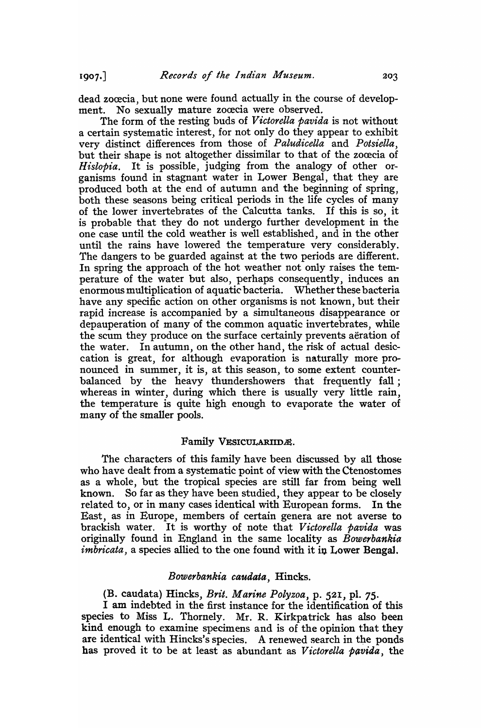dead zoœcia, but none were found actually in the course of development. No sexually mature zooscia were observed.

The form of the resting buds of *V ictorella pavida* is not without a certain systematic interest, for not only do they appear to exhibit very distinct differences from those of *Paludicella* and *Potsiella,*  but their shape is not altogether dissimilar to that of the zooecia of *Hislopia.* It is possible, judging from the analogy of other organisms found in stagnant water in Lower Bengal, that they are produced both at the end of autumn and the beginning of spring, both these seasons being critical periods in the life cycles of many of the lower invertebrates of the Calcutta tanks. If this is so, it is probable that they do not undergo further development in the one case until the cold weather is well established, and in the other until the rains have lowered the temperature very considerably. The dangers to be guarded against at the two periods are different. In spring the approach of the hot weather not only raises the temperature of the water but also, perhaps consequently, induces an enormous multiplication of aquatic bacteria. Whether these bacteria have any specific action on other organisms is not known, but their rapid increase is accompanied by a simultaneous disappearance or depauperation of many of the common aquatic invertebrates, while the scum they produce on the surface certainly prevents aeration of the water. In autumn, on the other hand, the risk of actual desiccation is great, for although evaporation is naturally more pronounced in summer, it is, at this season, to some extent counterbalanced by the heavy thundershowers that frequently fall; whereas in winter, during which there is usually very little rain, the temperature is quite high enough to evaporate the water of many of the smaller pools.

#### Family VESICULARIIDE.

The characters of this family have been discussed by all those who have dealt from a systematic point of view with the Ctenostomes as a whole, but the tropical species are still far from being well known. So far as they have been studied, they appear to be closely related to, or in many cases identical with European forms. In the East, as in Europe, members of certain genera are not averse to brackish water. It is worthy of note that *Victorella pavida* was originally found in England in the same locality as *Bowerbankia imbricata*, a species allied to the one found with it in Lower Bengal.

#### *Bowerbankia caudata,* Hincks.

(B. caudata) Hincks, *Brit. Marine Polyzoa,* p. 52!, pl. 75.

I am indebted in the first instance for the identification of this species to Miss L. Thornely. Mr. R. Kirkpatrick has also been kind enough to examine specimens and is of the opinion that they are identical with Hincks's species. A renewed search in the ponds has proved it to be at least as abundant as *V ictorella pavida,* the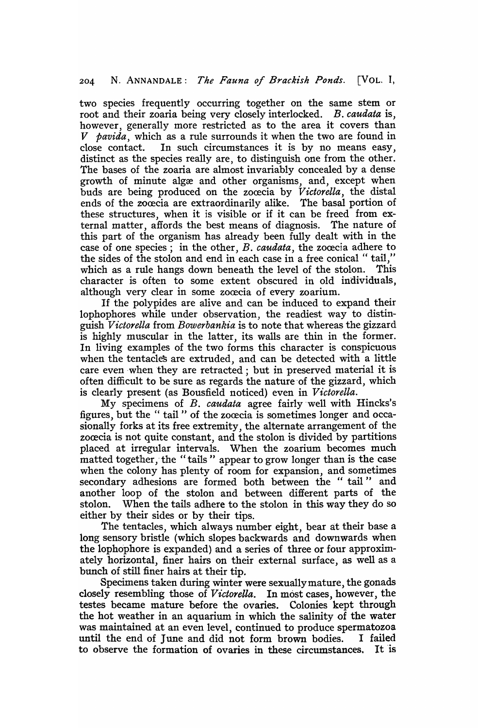two species frequently occurring together on the same stem or root and their zoaria being very closely interlocked. *B. caudata* is, however, generally more restricted as to the area it covers than *V pavida*, which as a rule surrounds it when the two are found in close contact. In such circumstances it is by no means easy, In such circumstances it is by no means easy, distinct as the species really are, to distinguish one from the other. The bases of the zoaria are almost invariably concealed by a dense growth of minute algæ and other organisms, and, except when buds are being produced on the zoœcia by *Victorella*, the distal ends of the zoœcia are extraordinarily alike. The basal portion of these structures, when it is visible or if it can be freed from external matter, affords the best means of diagnosis. The nature of this part of the organism has already been fully dealt with in the case of one species; in the other, *B. caudata*, the zoœcia adhere to the sides of the stolon and end in each case in a free conical " tail," which as a rule hangs down beneath the level of the stolon. This character is often to some extent obscured in old individuals, although very clear in some zoœcia of every zoarium.

If the polypides are alive and can be induced to expand their lophophores while under observation, the readiest way to distinguish *Victorella* from *Bowerbankia* is to note that whereas the gizzard is highly muscular in the latter, its walls are thin in the former. In living examples of the two forms this character is conspicuous when the tentacle's are extruded, and can be detected with a little care even when they are retracted; but in preserved material it is often difficult to be sure as regards the nature of the gizzard, which is clearly present (as Bousfield noticed) even in *Victorella*.

My specimens of B. *caudata* agree fairly "well with Hincks's figures, but the " tail " of the zocecia is sometimes longer and occasionally forks at its free extremity, the alternate arrangement of the zocecia is not quite constant, and the stolon is divided by partitions placed at irregular intervals. When the zoarium becomes much matted together, the "tails" appear to grow longer than is the case when the colony has plenty of room for expansion, and sometimes secondary adhesions are formed both between the "tail" and another loop of the stolon and between different parts of the stolon. When the tails adhere to the stolon in this way they do so either by their sides or by their tips.

The tentacles, which always number eight, bear at their base a long sensory bristle (which slopes backwards and downwards when the lophophore is expanded) and a series of three or four approximately horizontal, finer hairs on their external surface, as well as a bunch of still finer hairs at their tip.

Specimens taken during winter were sexuallymature, the gonads closely resembling those of *V ictorella.* In most cases, however, the testes became mature before the ovaries. Colonies kept through the hot weather in an aquarium in which the salinity of the water was maintained at an even level, continued to produce spermatozoa until the end of June and did not form brown bodies. I failed to observe the formation of ovaries in these circumstances. It is